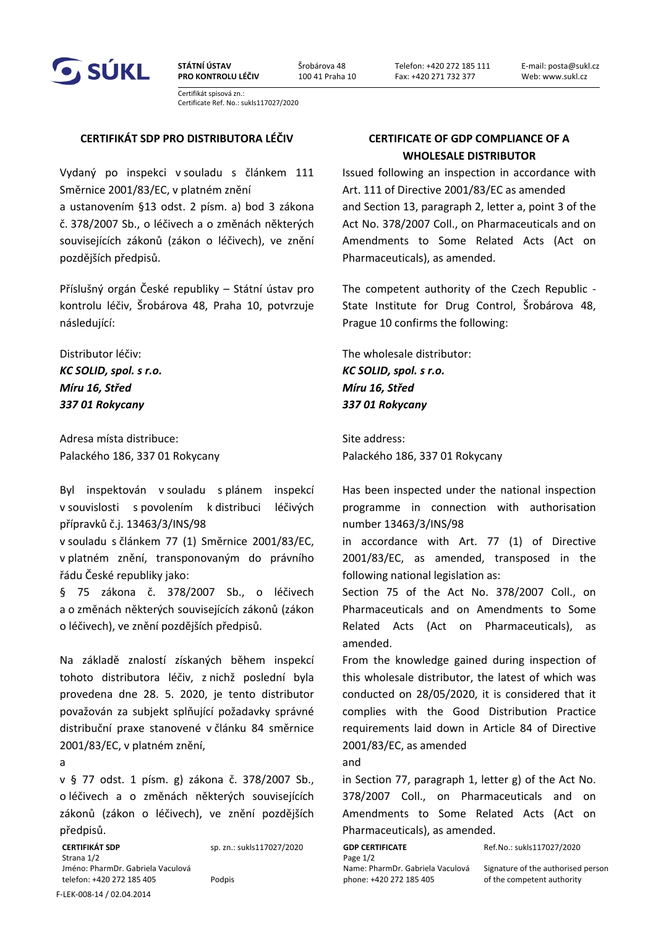

**STÁTNÍ ÚSTAV PRO KONTROLU LÉČIV** Šrobárova 48 100 41 Praha 10 E-mail: posta@sukl.cz Web: www.sukl.cz

Certifikát spisová zn.: Certificate Ref. No.: sukls117027/2020

## **CERTIFIKÁT SDP PRO DISTRIBUTORA LÉČIV CERTIFICATE OF GDP COMPLIANCE OF A**

Vydaný po inspekci v souladu s článkem 111 Směrnice 2001/83/EC, v platném znění a ustanovením §13 odst. 2 písm. a) bod 3 zákona č. 378/2007 Sb., o léčivech a o změnách některých souvisejících zákonů (zákon o léčivech), ve znění pozdějších předpisů.

Příslušný orgán České republiky – Státní ústav pro kontrolu léčiv, Šrobárova 48, Praha 10, potvrzuje následující:

Distributor léčiv: *KC SOLID, spol. s r.o. Míru 16, Střed 337 01 Rokycany* 

Adresa místa distribuce: Palackého 186, 337 01 Rokycany

Byl inspektován v souladu s plánem inspekcí v souvislosti s povolením k distribuci léčivých přípravků č.j. 13463/3/INS/98

v souladu s článkem 77 (1) Směrnice 2001/83/EC, v platném znění, transponovaným do právního řádu České republiky jako:

§ 75 zákona č. 378/2007 Sb., o léčivech a o změnách některých souvisejících zákonů (zákon o léčivech), ve znění pozdějších předpisů.

Na základě znalostí získaných během inspekcí tohoto distributora léčiv, z nichž poslední byla provedena dne 28. 5. 2020, je tento distributor považován za subjekt splňující požadavky správné distribuční praxe stanovené v článku 84 směrnice 2001/83/EC, v platném znění,

a

v § 77 odst. 1 písm. g) zákona č. 378/2007 Sb., o léčivech a o změnách některých souvisejících zákonů (zákon o léčivech), ve znění pozdějších předpisů.

**CERTIFIKÁT SDP** sp. zn.: sukls117027/2020 **GDP CERTIFICATE** Ref.No.: sukls117027/2020 Strana 1/2 Page 1/2 Jméno: PharmDr. Gabriela Vaculová Name: PharmDr. Gabriela Vaculová Signature of the authorised person telefon: +420 272 185 405 Podpis phone: +420 272 185 405 of the competent authority

## **WHOLESALE DISTRIBUTOR**

Issued following an inspection in accordance with Art. 111 of Directive 2001/83/EC as amended and Section 13, paragraph 2, letter a, point 3 of the Act No. 378/2007 Coll., on Pharmaceuticals and on Amendments to Some Related Acts (Act on Pharmaceuticals), as amended.

The competent authority of the Czech Republic - State Institute for Drug Control, Šrobárova 48, Prague 10 confirms the following:

The wholesale distributor: *KC SOLID, spol. s r.o. Míru 16, Střed 337 01 Rokycany*

Site address: Palackého 186, 337 01 Rokycany

Has been inspected under the national inspection programme in connection with authorisation number 13463/3/INS/98

in accordance with Art. 77 (1) of Directive 2001/83/EC, as amended, transposed in the following national legislation as:

Section 75 of the Act No. 378/2007 Coll., on Pharmaceuticals and on Amendments to Some Related Acts (Act on Pharmaceuticals), as amended.

From the knowledge gained during inspection of this wholesale distributor, the latest of which was conducted on 28/05/2020, it is considered that it complies with the Good Distribution Practice requirements laid down in Article 84 of Directive 2001/83/EC, as amended

and

in Section 77, paragraph 1, letter g) of the Act No. 378/2007 Coll., on Pharmaceuticals and on Amendments to Some Related Acts (Act on Pharmaceuticals), as amended.